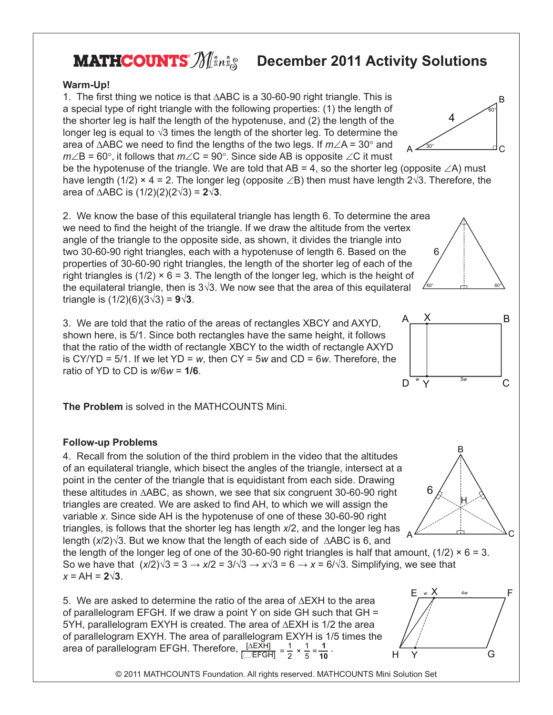## **MATHCOUNTS**  $\mathscr{M}$  in i.g.

## **December 2011 Activity Solutions**

## **Warm-Up!**

1. The first thing we notice is that ∆ABC is a 30-60-90 right triangle. This is a special type of right triangle with the following properties: (1) the length of the shorter leg is half the length of the hypotenuse, and (2) the length of the longer leg is equal to  $\sqrt{3}$  times the length of the shorter leg. To determine the area of ∆ABC we need to find the lengths of the two legs. If *m*∠A = 30° and *m*∠B = 60°, it follows that *m*∠C = 90°. Since side AB is opposite ∠C it must

be the hypotenuse of the triangle. We are told that AB = 4, so the shorter leg (opposite  $\angle A$ ) must have length (1/2) × 4 = 2. The longer leg (opposite  $\angle B$ ) then must have length 2 $\sqrt{3}$ . Therefore, the area of ∆ABC is (1/2)(2)(2√3) = **2√3**.

2. We know the base of this equilateral triangle has length 6. To determine the area we need to find the height of the triangle. If we draw the altitude from the vertex angle of the triangle to the opposite side, as shown, it divides the triangle into two 30-60-90 right triangles, each with a hypotenuse of length 6. Based on the properties of 30-60-90 right triangles, the length of the shorter leg of each of the right triangles is  $(1/2) \times 6 = 3$ . The length of the longer leg, which is the height of the equilateral triangle, then is  $3\sqrt{3}$ . We now see that the area of this equilateral triangle is (1/2)(6)(3√3) = **9√3**.

3. We are told that the ratio of the areas of rectangles XBCY and AXYD, shown here, is 5/1. Since both rectangles have the same height, it follows that the ratio of the width of rectangle XBCY to the width of rectangle AXYD is CY/YD = 5/1. If we let YD = *w*, then CY = 5*w* and CD = 6*w*. Therefore, the ratio of YD to CD is *w*/6*w* = **1/6**.

**The Problem** is solved in the MATHCOUNTS Mini.

## **Follow-up Problems**

4. Recall from the solution of the third problem in the video that the altitudes of an equilateral triangle, which bisect the angles of the triangle, intersect at a point in the center of the triangle that is equidistant from each side. Drawing these altitudes in ∆ABC, as shown, we see that six congruent 30-60-90 right triangles are created. We are asked to find AH, to which we will assign the variable *x*. Since side AH is the hypotenuse of one of these 30-60-90 right triangles, is follows that the shorter leg has length *x*/2, and the longer leg has length (*x*/2)√3. But we know that the length of each side of ∆ABC is 6, and

the length of the longer leg of one of the 30-60-90 right triangles is half that amount,  $(1/2) \times 6 = 3$ . So we have that  $(x/2)\sqrt{3} = 3 \rightarrow x/2 = 3/\sqrt{3} \rightarrow x/\sqrt{3} = 6 \rightarrow x = 6/\sqrt{3}$ . Simplifying, we see that  $x = AH = 2\sqrt{3}$ .

5. We are asked to determine the ratio of the area of ∆EXH to the area of parallelogram EFGH. If we draw a point Y on side GH such that GH = 5YH, parallelogram EXYH is created. The area of ∆EXH is 1/2 the area of parallelogram EXYH. The area of parallelogram EXYH is 1/5 times the area of parallelogram EFGH. Therefore, <mark>[∆EXH]</mark> <sub>=</sub> 1 2 1  $\times \frac{1}{5} = \frac{1}{10}$  $\frac{1}{10}$  .

© 2011 MATHCOUNTS Foundation. All rights reserved. MATHCOUNTS Mini Solution Set





60° 60°

6